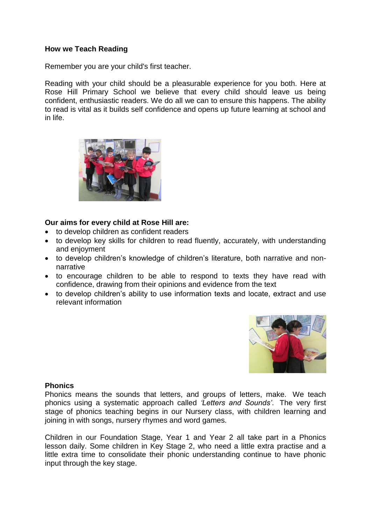## **How we Teach Reading**

Remember you are your child's first teacher.

Reading with your child should be a pleasurable experience for you both. Here at Rose Hill Primary School we believe that every child should leave us being confident, enthusiastic readers. We do all we can to ensure this happens. The ability to read is vital as it builds self confidence and opens up future learning at school and in life.



## **Our aims for every child at Rose Hill are:**

- to develop children as confident readers
- to develop key skills for children to read fluently, accurately, with understanding and enjoyment
- to develop children's knowledge of children's literature, both narrative and nonnarrative
- to encourage children to be able to respond to texts they have read with confidence, drawing from their opinions and evidence from the text
- to develop children's ability to use information texts and locate, extract and use relevant information



#### **Phonics**

Phonics means the sounds that letters, and groups of letters, make. We teach phonics using a systematic approach called *'Letters and Sounds'*. The very first stage of phonics teaching begins in our Nursery class, with children learning and joining in with songs, nursery rhymes and word games.

Children in our Foundation Stage, Year 1 and Year 2 all take part in a Phonics lesson daily. Some children in Key Stage 2, who need a little extra practise and a little extra time to consolidate their phonic understanding continue to have phonic input through the key stage.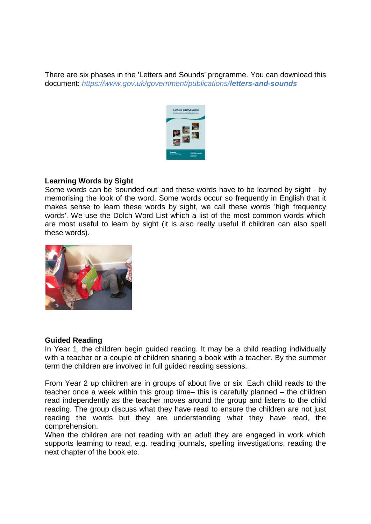There are six phases in the 'Letters and Sounds' programme. You can download this document: *https://www.gov.uk/government/publications/letters-and-sounds*



## **Learning Words by Sight**

Some words can be 'sounded out' and these words have to be learned by sight - by memorising the look of the word. Some words occur so frequently in English that it makes sense to learn these words by sight, we call these words 'high frequency words'. We use the Dolch Word List which a list of the most common words which are most useful to learn by sight (it is also really useful if children can also spell these words).



#### **Guided Reading**

In Year 1, the children begin guided reading. It may be a child reading individually with a teacher or a couple of children sharing a book with a teacher. By the summer term the children are involved in full guided reading sessions.

From Year 2 up children are in groups of about five or six. Each child reads to the teacher once a week within this group time– this is carefully planned – the children read independently as the teacher moves around the group and listens to the child reading. The group discuss what they have read to ensure the children are not just reading the words but they are understanding what they have read, the comprehension.

When the children are not reading with an adult they are engaged in work which supports learning to read, e.g. reading journals, spelling investigations, reading the next chapter of the book etc.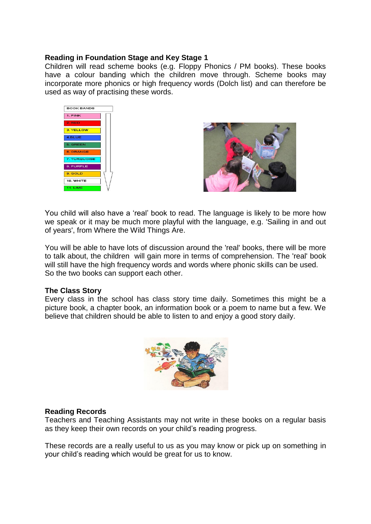## **Reading in Foundation Stage and Key Stage 1**

Children will read scheme books (e.g. Floppy Phonics / PM books). These books have a colour banding which the children move through. Scheme books may incorporate more phonics or high frequency words (Dolch list) and can therefore be used as way of practising these words.





You child will also have a 'real' book to read. The language is likely to be more how we speak or it may be much more playful with the language, e.g. 'Sailing in and out of years', from Where the Wild Things Are.

You will be able to have lots of discussion around the 'real' books, there will be more to talk about, the children will gain more in terms of comprehension. The 'real' book will still have the high frequency words and words where phonic skills can be used. So the two books can support each other.

#### **The Class Story**

Every class in the school has class story time daily. Sometimes this might be a picture book, a chapter book, an information book or a poem to name but a few. We believe that children should be able to listen to and enjoy a good story daily.



#### **Reading Records**

Teachers and Teaching Assistants may not write in these books on a regular basis as they keep their own records on your child's reading progress.

These records are a really useful to us as you may know or pick up on something in your child's reading which would be great for us to know.